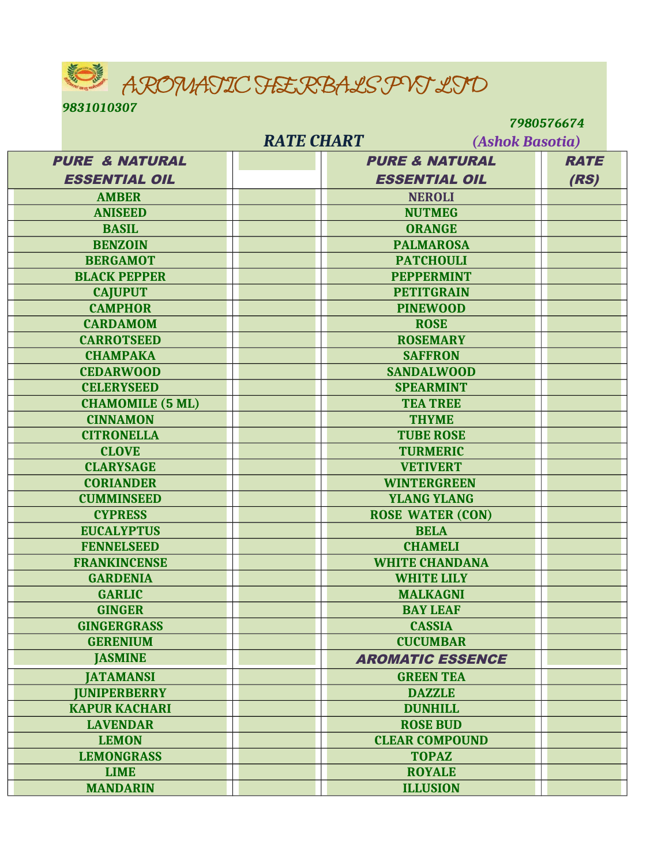AROMATIC HERBALS PVT LTD

*9831010307* 

 *7980576674*

| <b>RATE CHART</b><br>(Ashok Basotia) |                           |             |
|--------------------------------------|---------------------------|-------------|
| <b>PURE &amp; NATURAL</b>            | <b>PURE &amp; NATURAL</b> | <b>RATE</b> |
| <b>ESSENTIAL OIL</b>                 | <b>ESSENTIAL OIL</b>      | (RS)        |
| <b>AMBER</b>                         | <b>NEROLI</b>             |             |
| <b>ANISEED</b>                       | <b>NUTMEG</b>             |             |
| <b>BASIL</b>                         | <b>ORANGE</b>             |             |
| <b>BENZOIN</b>                       | <b>PALMAROSA</b>          |             |
| <b>BERGAMOT</b>                      | <b>PATCHOULI</b>          |             |
| <b>BLACK PEPPER</b>                  | <b>PEPPERMINT</b>         |             |
| <b>CAJUPUT</b>                       | <b>PETITGRAIN</b>         |             |
| <b>CAMPHOR</b>                       | <b>PINEWOOD</b>           |             |
| <b>CARDAMOM</b>                      | <b>ROSE</b>               |             |
| <b>CARROTSEED</b>                    | <b>ROSEMARY</b>           |             |
| <b>CHAMPAKA</b>                      | <b>SAFFRON</b>            |             |
| <b>CEDARWOOD</b>                     | <b>SANDALWOOD</b>         |             |
| <b>CELERYSEED</b>                    | <b>SPEARMINT</b>          |             |
| <b>CHAMOMILE (5 ML)</b>              | <b>TEA TREE</b>           |             |
| <b>CINNAMON</b>                      | <b>THYME</b>              |             |
| <b>CITRONELLA</b>                    | <b>TUBE ROSE</b>          |             |
| <b>CLOVE</b>                         | <b>TURMERIC</b>           |             |
| <b>CLARYSAGE</b>                     | <b>VETIVERT</b>           |             |
| <b>CORIANDER</b>                     | <b>WINTERGREEN</b>        |             |
| <b>CUMMINSEED</b>                    | <b>YLANG YLANG</b>        |             |
| <b>CYPRESS</b>                       | <b>ROSE WATER (CON)</b>   |             |
| <b>EUCALYPTUS</b>                    | <b>BELA</b>               |             |
| <b>FENNELSEED</b>                    | <b>CHAMELI</b>            |             |
| <b>FRANKINCENSE</b>                  | <b>WHITE CHANDANA</b>     |             |
| <b>GARDENIA</b>                      | <b>WHITE LILY</b>         |             |
| <b>GARLIC</b>                        | <b>MALKAGNI</b>           |             |
| <b>GINGER</b>                        | <b>BAY LEAF</b>           |             |
| <b>GINGERGRASS</b>                   | <b>CASSIA</b>             |             |
| <b>GERENIUM</b>                      | <b>CUCUMBAR</b>           |             |
| <b>JASMINE</b>                       | <b>AROMATIC ESSENCE</b>   |             |
| <b>JATAMANSI</b>                     | <b>GREEN TEA</b>          |             |
| <b>IUNIPERBERRY</b>                  | <b>DAZZLE</b>             |             |
| <b>KAPUR KACHARI</b>                 | <b>DUNHILL</b>            |             |
| <b>LAVENDAR</b>                      | <b>ROSE BUD</b>           |             |
| <b>LEMON</b>                         | <b>CLEAR COMPOUND</b>     |             |
| <b>LEMONGRASS</b>                    | <b>TOPAZ</b>              |             |
| <b>LIME</b>                          | <b>ROYALE</b>             |             |
| <b>MANDARIN</b>                      | <b>ILLUSION</b>           |             |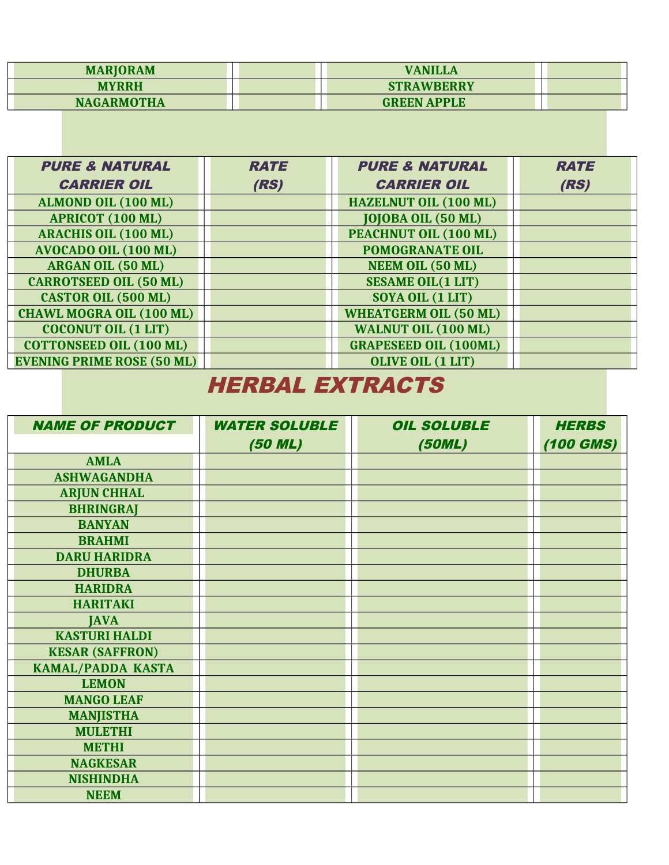| <b>MARIORAM</b>   | <b>VANILLA</b>     |  |
|-------------------|--------------------|--|
| <b>MYRRH</b>      | <b>STRAWBERRY</b>  |  |
| <b>NAGARMOTHA</b> | <b>GREEN APPLE</b> |  |

| <b>PURE &amp; NATURAL</b>         | <b>RATE</b> | <b>PURE &amp; NATURAL</b>    | <b>RATE</b> |
|-----------------------------------|-------------|------------------------------|-------------|
| <b>CARRIER OIL</b>                | (RS)        | <b>CARRIER OIL</b>           | (RS)        |
| ALMOND OIL (100 ML)               |             | <b>HAZELNUT OIL (100 ML)</b> |             |
| <b>APRICOT (100 ML)</b>           |             | <b>JOJOBA OIL (50 ML)</b>    |             |
| <b>ARACHIS OIL (100 ML)</b>       |             | PEACHNUT OIL (100 ML)        |             |
| <b>AVOCADO OIL (100 ML)</b>       |             | <b>POMOGRANATE OIL</b>       |             |
| <b>ARGAN OIL (50 ML)</b>          |             | <b>NEEM OIL (50 ML)</b>      |             |
| <b>CARROTSEED OIL (50 ML)</b>     |             | <b>SESAME OIL(1 LIT)</b>     |             |
| <b>CASTOR OIL (500 ML)</b>        |             | SOYA OIL (1 LIT)             |             |
| <b>CHAWL MOGRA OIL (100 ML)</b>   |             | <b>WHEATGERM OIL (50 ML)</b> |             |
| <b>COCONUT OIL (1 LIT)</b>        |             | <b>WALNUT OIL (100 ML)</b>   |             |
| <b>COTTONSEED OIL (100 ML)</b>    |             | <b>GRAPESEED OIL (100ML)</b> |             |
| <b>EVENING PRIME ROSE (50 ML)</b> |             | <b>OLIVE OIL (1 LIT)</b>     |             |

## HERBAL EXTRACTS

| <b>NAME OF PRODUCT</b>   | <b>WATER SOLUBLE</b> | <b>OIL SOLUBLE</b> | <b>HERBS</b> |
|--------------------------|----------------------|--------------------|--------------|
|                          | (50 ML)              | (50ML)             | $(100$ GMS)  |
| <b>AMLA</b>              |                      |                    |              |
| <b>ASHWAGANDHA</b>       |                      |                    |              |
| <b>ARJUN CHHAL</b>       |                      |                    |              |
| <b>BHRINGRAJ</b>         |                      |                    |              |
| <b>BANYAN</b>            |                      |                    |              |
| <b>BRAHMI</b>            |                      |                    |              |
| <b>DARU HARIDRA</b>      |                      |                    |              |
| <b>DHURBA</b>            |                      |                    |              |
| <b>HARIDRA</b>           |                      |                    |              |
| <b>HARITAKI</b>          |                      |                    |              |
| <b>JAVA</b>              |                      |                    |              |
| <b>KASTURI HALDI</b>     |                      |                    |              |
| <b>KESAR (SAFFRON)</b>   |                      |                    |              |
| <b>KAMAL/PADDA KASTA</b> |                      |                    |              |
| <b>LEMON</b>             |                      |                    |              |
| <b>MANGO LEAF</b>        |                      |                    |              |
| <b>MANJISTHA</b>         |                      |                    |              |
| <b>MULETHI</b>           |                      |                    |              |
| <b>METHI</b>             |                      |                    |              |
| <b>NAGKESAR</b>          |                      |                    |              |
| <b>NISHINDHA</b>         |                      |                    |              |
| <b>NEEM</b>              |                      |                    |              |